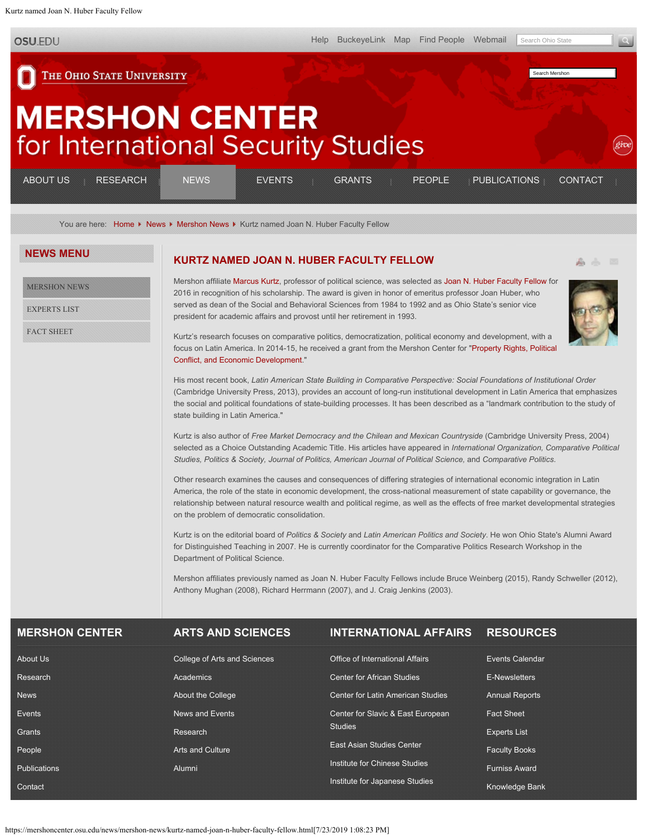<span id="page-0-0"></span>Kurtz named Joan N. Huber Faculty Fellow

**OSU.EDU** 

[Help](http://www.osu.edu/help.php) [BuckeyeLink](http://buckeyelink.osu.edu/) [Map](http://www.osu.edu/map/) [Find People](http://www.osu.edu/findpeople.php) [Webmail](https://email.osu.edu/) Search Ohio State

Search Mershon

THE OHIO STATE UNIVERSITY

## **MERSHON CENTER** for International Security Studies

| <b>ABOUT US</b> | <b>RESEARCH</b><br>_______<br>_______                                                                   | JEWS | EVENTS | <b>GRANTS</b> | <b>PEOPLE</b> | <b>PUBLICATIONS</b> | CONTACT                                                 |
|-----------------|---------------------------------------------------------------------------------------------------------|------|--------|---------------|---------------|---------------------|---------------------------------------------------------|
| _______         | _______<br>---------<br>and the property of the company and the company of<br>-----------<br>__________ |      |        |               |               | ______              | ___________<br>.<br>_______<br>________<br><br>________ |

You are here: [Home](https://mershoncenter.osu.edu/) K [News](https://mershoncenter.osu.edu/news.html) K [Mershon News](https://mershoncenter.osu.edu/news/mershon-news.html) K Kurtz named Joan N. Huber Faculty Fellow

## **[KURTZ NAMED JOAN N. HUBER FACULTY FELLOW](#page-0-0)**

[MERSHON NEWS](https://mershoncenter.osu.edu/news/mershon-news.html)

**NEWS MENU**

[EXPERTS LIST](https://mershoncenter.osu.edu/news/experts-list.html)

[FACT SHEET](https://mershoncenter.osu.edu/news/fact-sheet.html)

Mershon affiliate [Marcus Kurtz](https://mershoncenter.osu.edu/people/faculty/kurtz-marcus.html), professor of political science, was selected as [Joan N. Huber Faculty Fellow](https://artsandsciences.osu.edu/about/faculty-staff/faculty/faculty-awards/joan-n-huber-faculty-fellow-awards) for 2016 in recognition of his scholarship. The award is given in honor of emeritus professor Joan Huber, who served as dean of the Social and Behavioral Sciences from 1984 to 1992 and as Ohio State's senior vice president for academic affairs and provost until her retirement in 1993.



Kurtz's research focuses on comparative politics, democratization, political economy and development, with a focus on Latin America. In 2014-15, he received a grant from the Mershon Center for "[Property Rights, Political](https://mershoncenter.osu.edu/research/2014-2015/property-rights-political-conflict-and-economic-development.html) [Conflict, and Economic Development](https://mershoncenter.osu.edu/research/2014-2015/property-rights-political-conflict-and-economic-development.html)."

His most recent book, *Latin American State Building in Comparative Perspective: Social Foundations of Institutional Order* (Cambridge University Press, 2013), provides an account of long-run institutional development in Latin America that emphasizes the social and political foundations of state-building processes. It has been described as a "landmark contribution to the study of state building in Latin America."

Kurtz is also author of *Free Market Democracy and the Chilean and Mexican Countryside* (Cambridge University Press, 2004) selected as a Choice Outstanding Academic Title. His articles have appeared in *International Organization, Comparative Political Studies, Politics & Society, Journal of Politics, American Journal of Political Science,* and *Comparative Politics*.

Other research examines the causes and consequences of differing strategies of international economic integration in Latin America, the role of the state in economic development, the cross-national measurement of state capability or governance, the relationship between natural resource wealth and political regime, as well as the effects of free market developmental strategies on the problem of democratic consolidation.

Kurtz is on the editorial board of *Politics & Society* and *Latin American Politics and Society*. He won Ohio State's Alumni Award for Distinguished Teaching in 2007. He is currently coordinator for the Comparative Politics Research Workshop in the Department of Political Science.

Mershon affiliates previously named as Joan N. Huber Faculty Fellows include Bruce Weinberg (2015), Randy Schweller (2012), Anthony Mughan (2008), Richard Herrmann (2007), and J. Craig Jenkins (2003).

| <b>MERSHON CENTER</b> | <b>ARTS AND SCIENCES</b>     | <b>INTERNATIONAL AFFAIRS</b>             | <b>RESOURCES</b>       |
|-----------------------|------------------------------|------------------------------------------|------------------------|
| About Us              | College of Arts and Sciences | Office of International Affairs          | <b>Events Calendar</b> |
| Research              | Academics                    | <b>Center for African Studies</b>        | E-Newsletters          |
| <b>News</b>           | About the College            | <b>Center for Latin American Studies</b> | <b>Annual Reports</b>  |
| Events                | News and Events              | Center for Slavic & East European        | <b>Fact Sheet</b>      |
| Grants                | Research                     | <b>Studies</b>                           | <b>Experts List</b>    |
| People                | <b>Arts and Culture</b>      | <b>East Asian Studies Center</b>         | <b>Faculty Books</b>   |
| <b>Publications</b>   | Alumni                       | Institute for Chinese Studies            | <b>Furniss Award</b>   |
| Contact               |                              | Institute for Japanese Studies           | <b>Knowledge Bank</b>  |